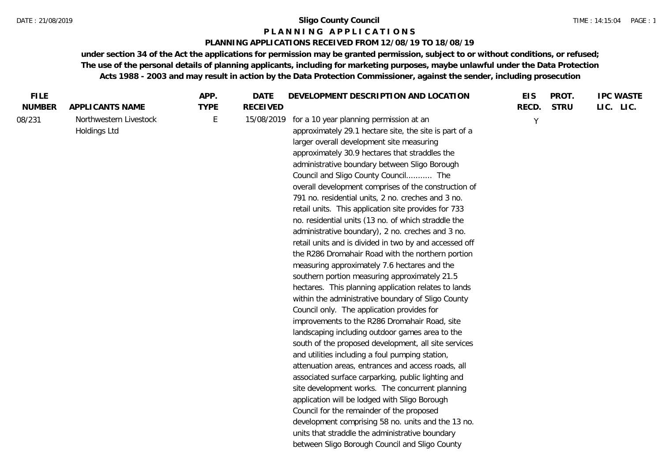#### **P L A N N I N G A P P L I C A T I O N S**

#### **PLANNING APPLICATIONS RECEIVED FROM 12/08/19 TO 18/08/19**

| <b>FILE</b>   |                                        | APP.        | <b>DATE</b>     | DEVELOPMENT DESCRIPTION AND LOCATION                                                                                                                                                                                                                                                                                                                                                                                                                                                                                                                                                                                                                                                                                                                                                                                                                                                                                                                                                                                                                                                                                                                                                                                                                                                                                                                                                                                                                                                                                                                                                           | <b>EIS</b>   | PROT.       | <b>IPC WASTE</b> |
|---------------|----------------------------------------|-------------|-----------------|------------------------------------------------------------------------------------------------------------------------------------------------------------------------------------------------------------------------------------------------------------------------------------------------------------------------------------------------------------------------------------------------------------------------------------------------------------------------------------------------------------------------------------------------------------------------------------------------------------------------------------------------------------------------------------------------------------------------------------------------------------------------------------------------------------------------------------------------------------------------------------------------------------------------------------------------------------------------------------------------------------------------------------------------------------------------------------------------------------------------------------------------------------------------------------------------------------------------------------------------------------------------------------------------------------------------------------------------------------------------------------------------------------------------------------------------------------------------------------------------------------------------------------------------------------------------------------------------|--------------|-------------|------------------|
| <b>NUMBER</b> | APPLICANTS NAME                        | <b>TYPE</b> | <b>RECEIVED</b> |                                                                                                                                                                                                                                                                                                                                                                                                                                                                                                                                                                                                                                                                                                                                                                                                                                                                                                                                                                                                                                                                                                                                                                                                                                                                                                                                                                                                                                                                                                                                                                                                | RECD.        | <b>STRU</b> | LIC. LIC.        |
| 08/231        | Northwestern Livestock<br>Holdings Ltd | E           | 15/08/2019      | for a 10 year planning permission at an<br>approximately 29.1 hectare site, the site is part of a<br>larger overall development site measuring<br>approximately 30.9 hectares that straddles the<br>administrative boundary between Sligo Borough<br>Council and Sligo County Council The<br>overall development comprises of the construction of<br>791 no. residential units, 2 no. creches and 3 no.<br>retail units. This application site provides for 733<br>no. residential units (13 no. of which straddle the<br>administrative boundary), 2 no. creches and 3 no.<br>retail units and is divided in two by and accessed off<br>the R286 Dromahair Road with the northern portion<br>measuring approximately 7.6 hectares and the<br>southern portion measuring approximately 21.5<br>hectares. This planning application relates to lands<br>within the administrative boundary of Sligo County<br>Council only. The application provides for<br>improvements to the R286 Dromahair Road, site<br>landscaping including outdoor games area to the<br>south of the proposed development, all site services<br>and utilities including a foul pumping station,<br>attenuation areas, entrances and access roads, all<br>associated surface carparking, public lighting and<br>site development works. The concurrent planning<br>application will be lodged with Sligo Borough<br>Council for the remainder of the proposed<br>development comprising 58 no. units and the 13 no.<br>units that straddle the administrative boundary<br>between Sligo Borough Council and Sligo County | <sup>V</sup> |             |                  |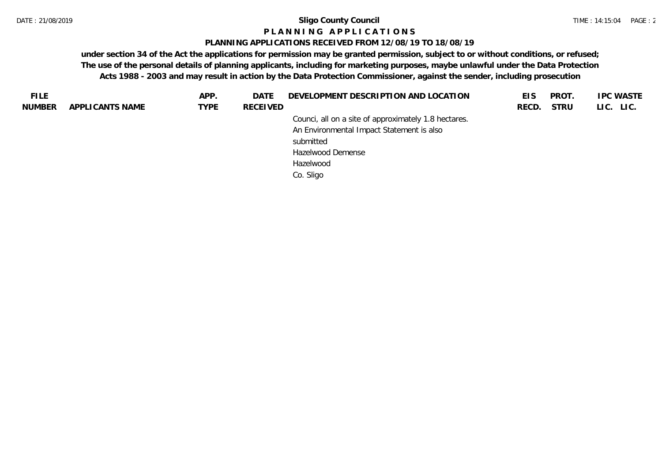#### **P L A N N I N G A P P L I C A T I O N S**

#### **PLANNING APPLICATIONS RECEIVED FROM 12/08/19 TO 18/08/19**

| <b>FILE</b> |                 | APP.        | DATE     | DEVELOPMENT DESCRIPTION AND LOCATION                 | EIS.  | PROT.       | <b>IPC WASTE</b> |
|-------------|-----------------|-------------|----------|------------------------------------------------------|-------|-------------|------------------|
| NUMBER      | APPLICANTS NAME | <b>TYPE</b> | RECEIVED |                                                      | RECD. | <b>STRU</b> | LIC. LIC.        |
|             |                 |             |          | Counci, all on a site of approximately 1.8 hectares. |       |             |                  |
|             |                 |             |          | An Environmental Impact Statement is also            |       |             |                  |
|             |                 |             |          | submitted                                            |       |             |                  |
|             |                 |             |          | Hazelwood Demense                                    |       |             |                  |
|             |                 |             |          | Hazelwood                                            |       |             |                  |
|             |                 |             |          | Co. Sligo                                            |       |             |                  |
|             |                 |             |          |                                                      |       |             |                  |
|             |                 |             |          |                                                      |       |             |                  |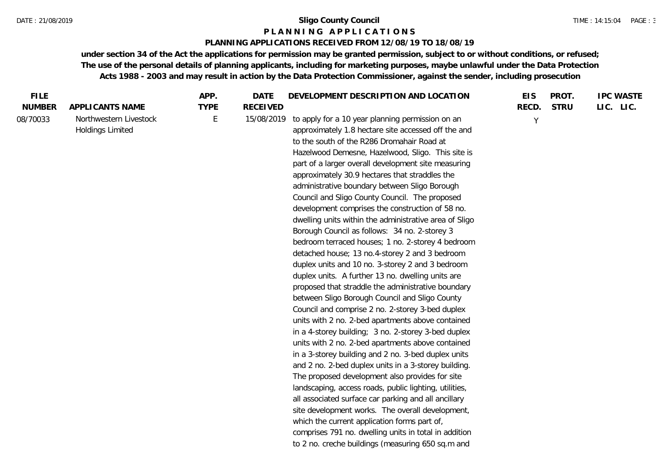#### **P L A N N I N G A P P L I C A T I O N S**

#### **PLANNING APPLICATIONS RECEIVED FROM 12/08/19 TO 18/08/19**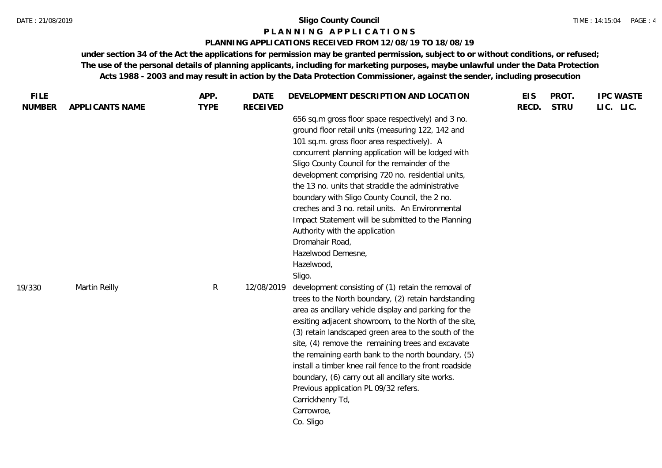#### **P L A N N I N G A P P L I C A T I O N S**

#### **PLANNING APPLICATIONS RECEIVED FROM 12/08/19 TO 18/08/19**

| <b>FILE</b>   |                 | APP.        | <b>DATE</b>     | DEVELOPMENT DESCRIPTION AND LOCATION                                                                                                                                                                                                                                                                                                                                                                                                                                                                                                                                                                                                   | <b>EIS</b> | PROT.       | <b>IPC WASTE</b> |
|---------------|-----------------|-------------|-----------------|----------------------------------------------------------------------------------------------------------------------------------------------------------------------------------------------------------------------------------------------------------------------------------------------------------------------------------------------------------------------------------------------------------------------------------------------------------------------------------------------------------------------------------------------------------------------------------------------------------------------------------------|------------|-------------|------------------|
| <b>NUMBER</b> | APPLICANTS NAME | <b>TYPE</b> | <b>RECEIVED</b> | 656 sq.m gross floor space respectively) and 3 no.<br>ground floor retail units (measuring 122, 142 and<br>101 sq.m. gross floor area respectively). A<br>concurrent planning application will be lodged with<br>Sligo County Council for the remainder of the<br>development comprising 720 no. residential units,<br>the 13 no. units that straddle the administrative<br>boundary with Sligo County Council, the 2 no.<br>creches and 3 no. retail units. An Environmental<br>Impact Statement will be submitted to the Planning<br>Authority with the application<br>Dromahair Road,<br>Hazelwood Demesne,<br>Hazelwood,<br>Sligo. | RECD.      | <b>STRU</b> | LIC. LIC.        |
| 19/330        | Martin Reilly   | R           | 12/08/2019      | development consisting of (1) retain the removal of<br>trees to the North boundary, (2) retain hardstanding<br>area as ancillary vehicle display and parking for the<br>exsiting adjacent showroom, to the North of the site,<br>(3) retain landscaped green area to the south of the<br>site, (4) remove the remaining trees and excavate<br>the remaining earth bank to the north boundary, (5)<br>install a timber knee rail fence to the front roadside<br>boundary, (6) carry out all ancillary site works.<br>Previous application PL 09/32 refers.<br>Carrickhenry Td,<br>Carrowroe,<br>Co. Sligo                               |            |             |                  |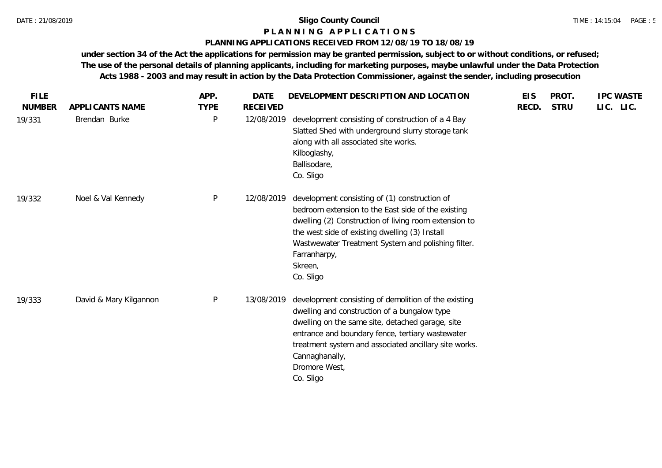# **P L A N N I N G A P P L I C A T I O N S**

## **PLANNING APPLICATIONS RECEIVED FROM 12/08/19 TO 18/08/19**

| <b>FILE</b><br><b>NUMBER</b> | APPLICANTS NAME        | APP.<br><b>TYPE</b> | <b>DATE</b><br><b>RECEIVED</b> | DEVELOPMENT DESCRIPTION AND LOCATION                                                                                                                                                                                                                                                                                  | <b>EIS</b><br>RECD. | PROT.<br><b>STRU</b> | <b>IPC WASTE</b><br>LIC. LIC. |
|------------------------------|------------------------|---------------------|--------------------------------|-----------------------------------------------------------------------------------------------------------------------------------------------------------------------------------------------------------------------------------------------------------------------------------------------------------------------|---------------------|----------------------|-------------------------------|
| 19/331                       | Brendan Burke          | $\mathsf{P}$        | 12/08/2019                     | development consisting of construction of a 4 Bay<br>Slatted Shed with underground slurry storage tank<br>along with all associated site works.<br>Kilboglashy,<br>Ballisodare,<br>Co. Sligo                                                                                                                          |                     |                      |                               |
| 19/332                       | Noel & Val Kennedy     | P                   | 12/08/2019                     | development consisting of (1) construction of<br>bedroom extension to the East side of the existing<br>dwelling (2) Construction of living room extension to<br>the west side of existing dwelling (3) Install<br>Wastwewater Treatment System and polishing filter.<br>Farranharpy,<br>Skreen,<br>Co. Sligo          |                     |                      |                               |
| 19/333                       | David & Mary Kilgannon | P                   | 13/08/2019                     | development consisting of demolition of the existing<br>dwelling and construction of a bungalow type<br>dwelling on the same site, detached garage, site<br>entrance and boundary fence, tertiary wastewater<br>treatment system and associated ancillary site works.<br>Cannaghanally,<br>Dromore West,<br>Co. Sligo |                     |                      |                               |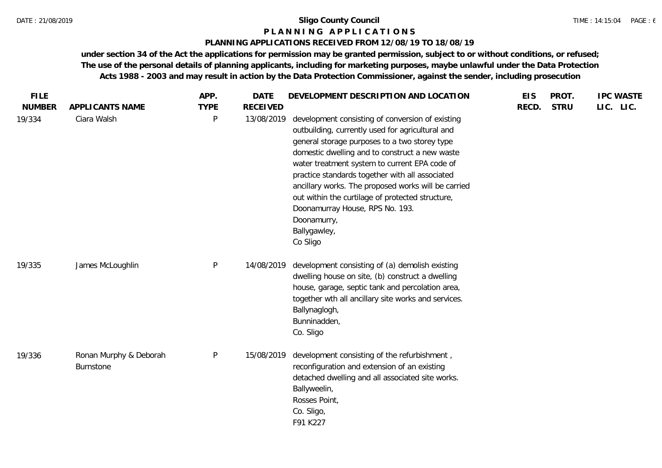#### **P L A N N I N G A P P L I C A T I O N S**

#### **PLANNING APPLICATIONS RECEIVED FROM 12/08/19 TO 18/08/19**

| <b>FILE</b>             |                                     | APP.             | <b>DATE</b>                   | DEVELOPMENT DESCRIPTION AND LOCATION                                                                                                                                                                                                                                                                                                                                                                                                                                                     | <b>EIS</b> | PROT.       | <b>IPC WASTE</b> |
|-------------------------|-------------------------------------|------------------|-------------------------------|------------------------------------------------------------------------------------------------------------------------------------------------------------------------------------------------------------------------------------------------------------------------------------------------------------------------------------------------------------------------------------------------------------------------------------------------------------------------------------------|------------|-------------|------------------|
| <b>NUMBER</b><br>19/334 | APPLICANTS NAME<br>Ciara Walsh      | <b>TYPE</b><br>P | <b>RECEIVED</b><br>13/08/2019 | development consisting of conversion of existing<br>outbuilding, currently used for agricultural and<br>general storage purposes to a two storey type<br>domestic dwelling and to construct a new waste<br>water treatment system to current EPA code of<br>practice standards together with all associated<br>ancillary works. The proposed works will be carried<br>out within the curtilage of protected structure,<br>Doonamurray House, RPS No. 193.<br>Doonamurry,<br>Ballygawley, | RECD.      | <b>STRU</b> | LIC. LIC.        |
| 19/335                  | James McLoughlin                    | P                | 14/08/2019                    | Co Sligo<br>development consisting of (a) demolish existing<br>dwelling house on site, (b) construct a dwelling<br>house, garage, septic tank and percolation area,<br>together wth all ancillary site works and services.<br>Ballynaglogh,<br>Bunninadden,<br>Co. Sligo                                                                                                                                                                                                                 |            |             |                  |
| 19/336                  | Ronan Murphy & Deborah<br>Burnstone | P                | 15/08/2019                    | development consisting of the refurbishment,<br>reconfiguration and extension of an existing<br>detached dwelling and all associated site works.<br>Ballyweelin,<br>Rosses Point,<br>Co. Sligo,<br>F91 K227                                                                                                                                                                                                                                                                              |            |             |                  |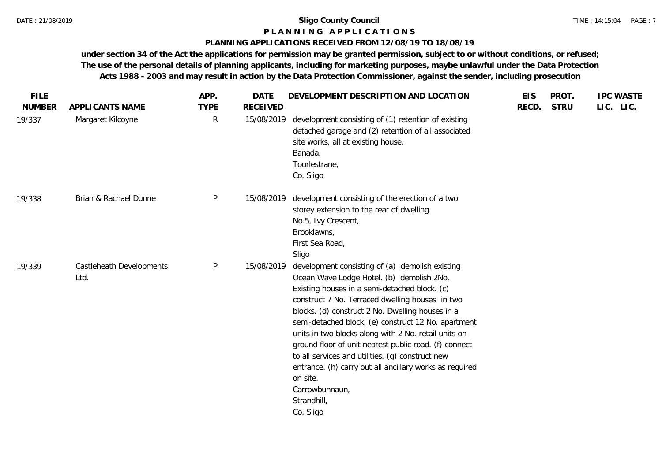#### **P L A N N I N G A P P L I C A T I O N S**

#### **PLANNING APPLICATIONS RECEIVED FROM 12/08/19 TO 18/08/19**

| <b>FILE</b>   |                                  | APP.        | <b>DATE</b>     | DEVELOPMENT DESCRIPTION AND LOCATION                                                                                                                                                                                                                                                                                                                                                                                                                                                                                                                                                                  | <b>EIS</b> | PROT.       | <b>IPC WASTE</b> |
|---------------|----------------------------------|-------------|-----------------|-------------------------------------------------------------------------------------------------------------------------------------------------------------------------------------------------------------------------------------------------------------------------------------------------------------------------------------------------------------------------------------------------------------------------------------------------------------------------------------------------------------------------------------------------------------------------------------------------------|------------|-------------|------------------|
| <b>NUMBER</b> | APPLICANTS NAME                  | <b>TYPE</b> | <b>RECEIVED</b> |                                                                                                                                                                                                                                                                                                                                                                                                                                                                                                                                                                                                       | RECD.      | <b>STRU</b> | LIC. LIC.        |
| 19/337        | Margaret Kilcoyne                | R           | 15/08/2019      | development consisting of (1) retention of existing<br>detached garage and (2) retention of all associated<br>site works, all at existing house.<br>Banada,<br>Tourlestrane,<br>Co. Sligo                                                                                                                                                                                                                                                                                                                                                                                                             |            |             |                  |
| 19/338        | Brian & Rachael Dunne            | P           | 15/08/2019      | development consisting of the erection of a two<br>storey extension to the rear of dwelling.<br>No.5, Ivy Crescent,<br>Brooklawns,<br>First Sea Road<br>Sligo                                                                                                                                                                                                                                                                                                                                                                                                                                         |            |             |                  |
| 19/339        | Castleheath Developments<br>Ltd. | P           | 15/08/2019      | development consisting of (a) demolish existing<br>Ocean Wave Lodge Hotel. (b) demolish 2No.<br>Existing houses in a semi-detached block. (c)<br>construct 7 No. Terraced dwelling houses in two<br>blocks. (d) construct 2 No. Dwelling houses in a<br>semi-detached block. (e) construct 12 No. apartment<br>units in two blocks along with 2 No. retail units on<br>ground floor of unit nearest public road. (f) connect<br>to all services and utilities. (g) construct new<br>entrance. (h) carry out all ancillary works as required<br>on site.<br>Carrowbunnaun,<br>Strandhill,<br>Co. Sligo |            |             |                  |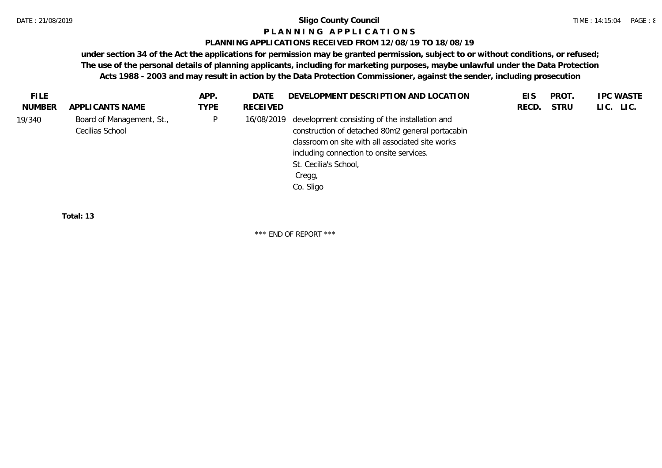#### **P L A N N I N G A P P L I C A T I O N S**

#### **PLANNING APPLICATIONS RECEIVED FROM 12/08/19 TO 18/08/19**

**under section 34 of the Act the applications for permission may be granted permission, subject to or without conditions, or refused; The use of the personal details of planning applicants, including for marketing purposes, maybe unlawful under the Data Protection Acts 1988 - 2003 and may result in action by the Data Protection Commissioner, against the sender, including prosecution**

| <b>FILE</b> |                                              | APP.         | DATE       | DEVELOPMENT DESCRIPTION AND LOCATION                                                                                                                                                                                                               | EIS   | PROT.       | <b>IPC WASTE</b> |
|-------------|----------------------------------------------|--------------|------------|----------------------------------------------------------------------------------------------------------------------------------------------------------------------------------------------------------------------------------------------------|-------|-------------|------------------|
| NUMBER      | APPLICANTS NAME                              | <b>TYPE</b>  | RECEIVED   |                                                                                                                                                                                                                                                    | RECD. | <b>STRU</b> | LIC. LIC.        |
| 19/340      | Board of Management, St.,<br>Cecilias School | $\mathsf{P}$ | 16/08/2019 | development consisting of the installation and<br>construction of detached 80m2 general portacabin<br>classroom on site with all associated site works<br>including connection to onsite services.<br>St. Cecilia's School,<br>Cregg,<br>Co. Sligo |       |             |                  |
|             |                                              |              |            |                                                                                                                                                                                                                                                    |       |             |                  |

**Total: 13**

\*\*\* END OF REPORT \*\*\*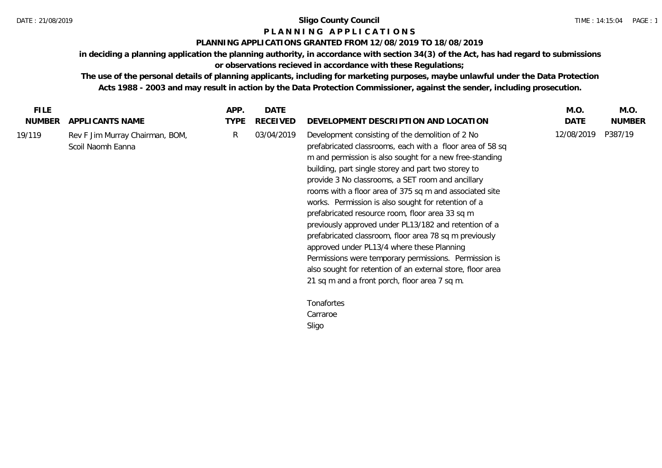## **P L A N N I N G A P P L I C A T I O N S**

### **PLANNING APPLICATIONS GRANTED FROM 12/08/2019 TO 18/08/2019**

**in deciding a planning application the planning authority, in accordance with section 34(3) of the Act, has had regard to submissions or observations recieved in accordance with these Regulations;**

**The use of the personal details of planning applicants, including for marketing purposes, maybe unlawful under the Data Protection Acts 1988 - 2003 and may result in action by the Data Protection Commissioner, against the sender, including prosecution.**

| <b>NUMBER</b><br><b>TYPE</b><br>RECEIVED<br>DATE<br><b>NUMBER</b><br>APPLICANTS NAME<br>DEVELOPMENT DESCRIPTION AND LOCATION<br>12/08/2019<br>P387/19<br>03/04/2019<br>Development consisting of the demolition of 2 No<br>R.<br>19/119<br>Rev F Jim Murray Chairman, BOM,<br>Scoil Naomh Eanna<br>prefabricated classrooms, each with a floor area of 58 sq<br>m and permission is also sought for a new free-standing<br>building, part single storey and part two storey to<br>provide 3 No classrooms, a SET room and ancillary<br>rooms with a floor area of 375 sq m and associated site<br>works. Permission is also sought for retention of a<br>prefabricated resource room, floor area 33 sq m<br>previously approved under PL13/182 and retention of a<br>prefabricated classroom, floor area 78 sq m previously<br>approved under PL13/4 where these Planning<br>Permissions were temporary permissions. Permission is<br>also sought for retention of an external store, floor area<br>21 sq m and a front porch, floor area 7 sq m.<br>Tonafortes<br>Carraroe<br>Sligo | <b>FILE</b> | APP. | <b>DATE</b> | M.O. | M.O. |
|--------------------------------------------------------------------------------------------------------------------------------------------------------------------------------------------------------------------------------------------------------------------------------------------------------------------------------------------------------------------------------------------------------------------------------------------------------------------------------------------------------------------------------------------------------------------------------------------------------------------------------------------------------------------------------------------------------------------------------------------------------------------------------------------------------------------------------------------------------------------------------------------------------------------------------------------------------------------------------------------------------------------------------------------------------------------------------------|-------------|------|-------------|------|------|
|                                                                                                                                                                                                                                                                                                                                                                                                                                                                                                                                                                                                                                                                                                                                                                                                                                                                                                                                                                                                                                                                                      |             |      |             |      |      |
|                                                                                                                                                                                                                                                                                                                                                                                                                                                                                                                                                                                                                                                                                                                                                                                                                                                                                                                                                                                                                                                                                      |             |      |             |      |      |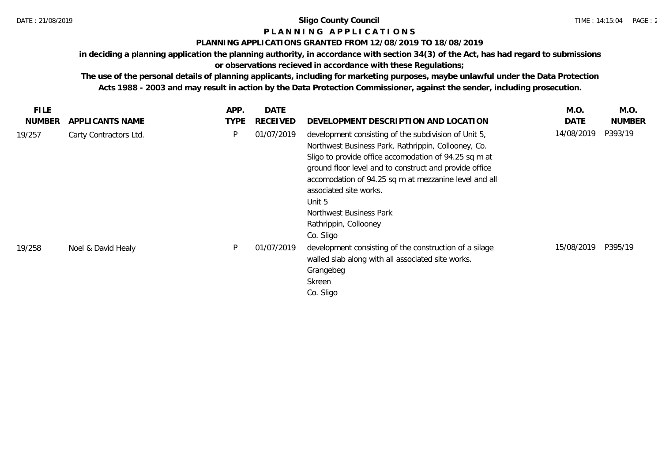## **P L A N N I N G A P P L I C A T I O N S**

### **PLANNING APPLICATIONS GRANTED FROM 12/08/2019 TO 18/08/2019**

**in deciding a planning application the planning authority, in accordance with section 34(3) of the Act, has had regard to submissions** 

## **or observations recieved in accordance with these Regulations;**

**The use of the personal details of planning applicants, including for marketing purposes, maybe unlawful under the Data Protection Acts 1988 - 2003 and may result in action by the Data Protection Commissioner, against the sender, including prosecution.**

| FILE.         |                        | APP.        | <b>DATE</b>     |                                                                                                                                                                                                                                                                                                                                                                                              | M.O.        | M.O.          |
|---------------|------------------------|-------------|-----------------|----------------------------------------------------------------------------------------------------------------------------------------------------------------------------------------------------------------------------------------------------------------------------------------------------------------------------------------------------------------------------------------------|-------------|---------------|
| <b>NUMBER</b> | APPLI CANTS NAME       | <b>TYPE</b> | <b>RECEIVED</b> | DEVELOPMENT DESCRIPTION AND LOCATION                                                                                                                                                                                                                                                                                                                                                         | <b>DATE</b> | <b>NUMBER</b> |
| 19/257        | Carty Contractors Ltd. | P           | 01/07/2019      | development consisting of the subdivision of Unit 5,<br>Northwest Business Park, Rathrippin, Collooney, Co.<br>Sligo to provide office accomodation of 94.25 sq m at<br>ground floor level and to construct and provide office<br>accomodation of 94.25 sq m at mezzanine level and all<br>associated site works.<br>Unit 5<br>Northwest Business Park<br>Rathrippin, Collooney<br>Co. Sligo | 14/08/2019  | P393/19       |
| 19/258        | Noel & David Healy     | <b>D</b>    | 01/07/2019      | development consisting of the construction of a silage<br>walled slab along with all associated site works.<br>Grangebeg<br>Skreen<br>Co. Sligo                                                                                                                                                                                                                                              | 15/08/2019  | P395/19       |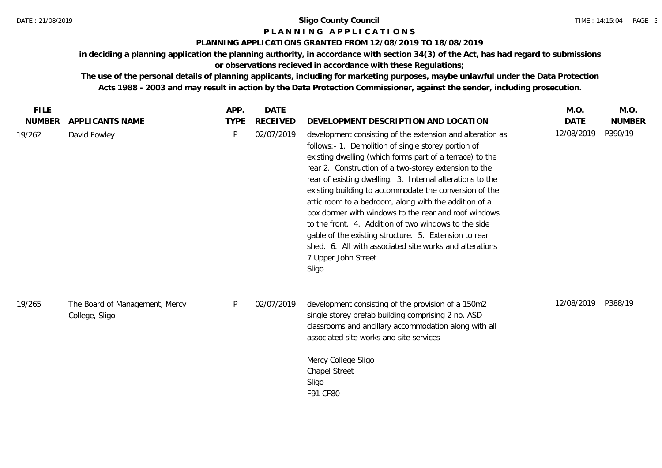## **P L A N N I N G A P P L I C A T I O N S**

### **PLANNING APPLICATIONS GRANTED FROM 12/08/2019 TO 18/08/2019**

**in deciding a planning application the planning authority, in accordance with section 34(3) of the Act, has had regard to submissions or observations recieved in accordance with these Regulations;**

**The use of the personal details of planning applicants, including for marketing purposes, maybe unlawful under the Data Protection Acts 1988 - 2003 and may result in action by the Data Protection Commissioner, against the sender, including prosecution.**

| <b>FILE</b>   |                                                  | APP.        | <b>DATE</b>     |                                                                                                                                                                                                                                                                                                                                                                                                                                                                                                                                                                                                                                                                                           | M.O.        | M.O.          |
|---------------|--------------------------------------------------|-------------|-----------------|-------------------------------------------------------------------------------------------------------------------------------------------------------------------------------------------------------------------------------------------------------------------------------------------------------------------------------------------------------------------------------------------------------------------------------------------------------------------------------------------------------------------------------------------------------------------------------------------------------------------------------------------------------------------------------------------|-------------|---------------|
| <b>NUMBER</b> | APPLICANTS NAME                                  | <b>TYPE</b> | <b>RECEIVED</b> | DEVELOPMENT DESCRIPTION AND LOCATION                                                                                                                                                                                                                                                                                                                                                                                                                                                                                                                                                                                                                                                      | <b>DATE</b> | <b>NUMBER</b> |
| 19/262        | David Fowley                                     | P           | 02/07/2019      | development consisting of the extension and alteration as<br>follows:- 1. Demolition of single storey portion of<br>existing dwelling (which forms part of a terrace) to the<br>rear 2. Construction of a two-storey extension to the<br>rear of existing dwelling. 3. Internal alterations to the<br>existing building to accommodate the conversion of the<br>attic room to a bedroom, along with the addition of a<br>box dormer with windows to the rear and roof windows<br>to the front. 4. Addition of two windows to the side<br>gable of the existing structure. 5. Extension to rear<br>shed. 6. All with associated site works and alterations<br>7 Upper John Street<br>Sligo | 12/08/2019  | P390/19       |
| 19/265        | The Board of Management, Mercy<br>College, Sligo | P           | 02/07/2019      | development consisting of the provision of a 150m2<br>single storey prefab building comprising 2 no. ASD<br>classrooms and ancillary accommodation along with all<br>associated site works and site services<br>Mercy College Sligo<br><b>Chapel Street</b><br>Sligo<br>F91 CF80                                                                                                                                                                                                                                                                                                                                                                                                          | 12/08/2019  | P388/19       |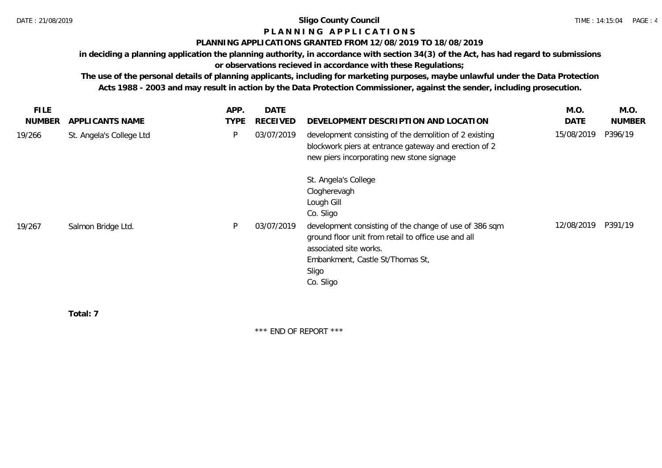## **P L A N N I N G A P P L I C A T I O N S**

### **PLANNING APPLICATIONS GRANTED FROM 12/08/2019 TO 18/08/2019**

**in deciding a planning application the planning authority, in accordance with section 34(3) of the Act, has had regard to submissions** 

**or observations recieved in accordance with these Regulations;**

**The use of the personal details of planning applicants, including for marketing purposes, maybe unlawful under the Data Protection Acts 1988 - 2003 and may result in action by the Data Protection Commissioner, against the sender, including prosecution.**

|                          | APP.        | <b>DATE</b>     |                                                                                                                                                                                                   | M.O.       | M.O.          |
|--------------------------|-------------|-----------------|---------------------------------------------------------------------------------------------------------------------------------------------------------------------------------------------------|------------|---------------|
| APPLICANTS NAME          | <b>TYPE</b> | <b>RECEIVED</b> | DEVELOPMENT DESCRIPTION AND LOCATION                                                                                                                                                              | DATE       | <b>NUMBER</b> |
| St. Angela's College Ltd | P           | 03/07/2019      | development consisting of the demolition of 2 existing<br>blockwork piers at entrance gateway and erection of 2<br>new piers incorporating new stone signage                                      | 15/08/2019 | P396/19       |
|                          |             |                 | St. Angela's College<br>Clogherevagh<br>Lough Gill<br>Co. Sligo                                                                                                                                   |            |               |
| Salmon Bridge Ltd.       | P           | 03/07/2019      | development consisting of the change of use of 386 sqm<br>ground floor unit from retail to office use and all<br>associated site works.<br>Embankment, Castle St/Thomas St,<br>Sligo<br>Co. Sligo | 12/08/2019 | P391/19       |
|                          |             |                 |                                                                                                                                                                                                   |            |               |

**Total: 7**

\*\*\* END OF REPORT \*\*\*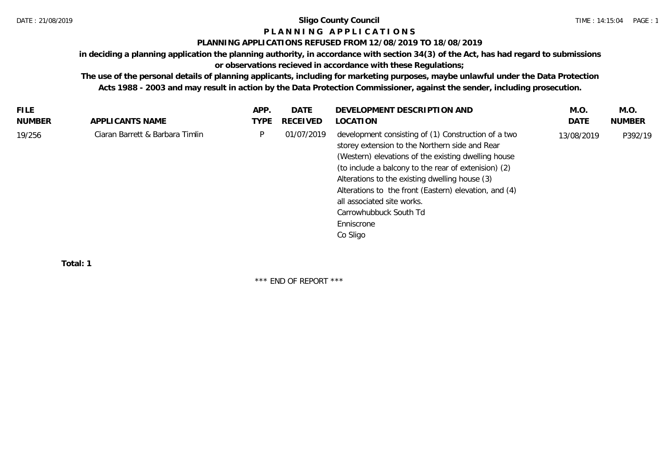## **P L A N N I N G A P P L I C A T I O N S**

#### **PLANNING APPLICATIONS REFUSED FROM 12/08/2019 TO 18/08/2019**

**in deciding a planning application the planning authority, in accordance with section 34(3) of the Act, has had regard to submissions** 

## **or observations recieved in accordance with these Regulations;**

**The use of the personal details of planning applicants, including for marketing purposes, maybe unlawful under the Data Protection Acts 1988 - 2003 and may result in action by the Data Protection Commissioner, against the sender, including prosecution.**

| <b>FILE</b> |                                 | APP. | <b>DATE</b> | DEVELOPMENT DESCRIPTION AND                                                                                                                                                                                                                                                                                                                                                                                       | M.O        | M.O.          |
|-------------|---------------------------------|------|-------------|-------------------------------------------------------------------------------------------------------------------------------------------------------------------------------------------------------------------------------------------------------------------------------------------------------------------------------------------------------------------------------------------------------------------|------------|---------------|
| NUMBER      | APPLICANTS NAME                 | TYPE | RECEIVED    | LOCATION                                                                                                                                                                                                                                                                                                                                                                                                          | DATE       | <b>NUMBER</b> |
| 19/256      | Ciaran Barrett & Barbara Timlin | P    | 01/07/2019  | development consisting of (1) Construction of a two<br>storey extension to the Northern side and Rear<br>(Western) elevations of the existing dwelling house<br>(to include a balcony to the rear of extenision) (2)<br>Alterations to the existing dwelling house (3)<br>Alterations to the front (Eastern) elevation, and (4)<br>all associated site works.<br>Carrowhubbuck South Td<br>Enniscrone<br>Co Sligo | 13/08/2019 | P392/19       |
|             |                                 |      |             |                                                                                                                                                                                                                                                                                                                                                                                                                   |            |               |

**Total: 1**

\*\*\* END OF REPORT \*\*\*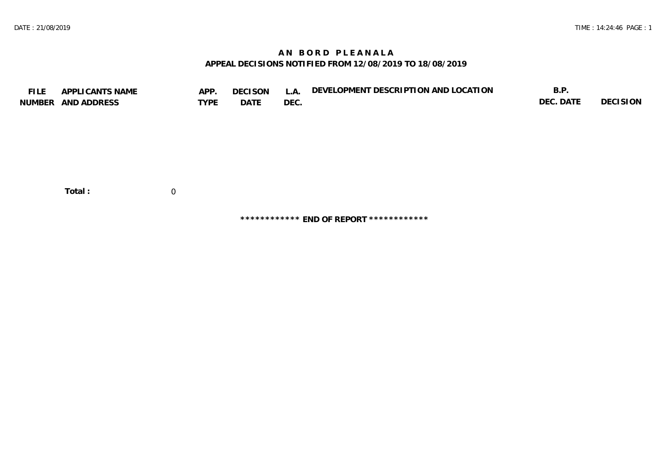## **A N B O R D P L E A N A L A APPEAL DECISIONS NOTIFIED FROM 12/08/2019 TO 18/08/2019**

| <b>FILE</b> | APPLICANTS NAME<br>NUMBER AND ADDRESS | APP.<br><b>TYPE</b> | <b>DECISON</b><br>DATE | L.A.<br>DEC. | DEVELOPMENT DESCRIPTION AND LOCATION | B.P.<br>DEC. DATE | DECISION |
|-------------|---------------------------------------|---------------------|------------------------|--------------|--------------------------------------|-------------------|----------|
|             | Total:                                | 0                   |                        |              |                                      |                   |          |

**\*\*\*\*\*\*\*\*\*\*\*\* END OF REPORT \*\*\*\*\*\*\*\*\*\*\*\***